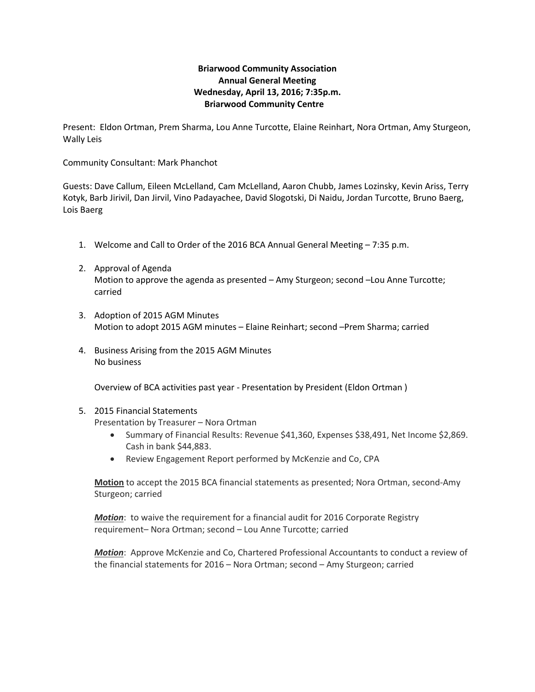## **Briarwood Community Association Annual General Meeting Wednesday, April 13, 2016; 7:35p.m. Briarwood Community Centre**

Present: Eldon Ortman, Prem Sharma, Lou Anne Turcotte, Elaine Reinhart, Nora Ortman, Amy Sturgeon, Wally Leis

Community Consultant: Mark Phanchot

Guests: Dave Callum, Eileen McLelland, Cam McLelland, Aaron Chubb, James Lozinsky, Kevin Ariss, Terry Kotyk, Barb Jirivil, Dan Jirvil, Vino Padayachee, David Slogotski, Di Naidu, Jordan Turcotte, Bruno Baerg, Lois Baerg

- 1. Welcome and Call to Order of the 2016 BCA Annual General Meeting 7:35 p.m.
- 2. Approval of Agenda Motion to approve the agenda as presented – Amy Sturgeon; second –Lou Anne Turcotte; carried
- 3. Adoption of 2015 AGM Minutes Motion to adopt 2015 AGM minutes – Elaine Reinhart; second –Prem Sharma; carried
- 4. Business Arising from the 2015 AGM Minutes No business

Overview of BCA activities past year - Presentation by President (Eldon Ortman )

## 5. 2015 Financial Statements

Presentation by Treasurer – Nora Ortman

- Summary of Financial Results: Revenue \$41,360, Expenses \$38,491, Net Income \$2,869. Cash in bank \$44,883.
- Review Engagement Report performed by McKenzie and Co, CPA

**Motion** to accept the 2015 BCA financial statements as presented; Nora Ortman, second-Amy Sturgeon; carried

*Motion*: to waive the requirement for a financial audit for 2016 Corporate Registry requirement– Nora Ortman; second – Lou Anne Turcotte; carried

*Motion*: Approve McKenzie and Co, Chartered Professional Accountants to conduct a review of the financial statements for 2016 – Nora Ortman; second – Amy Sturgeon; carried